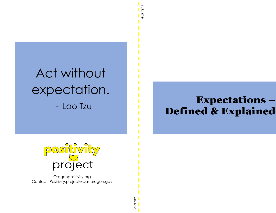# Act without expectation. - Lao Tzu

# Expectations-**Defined & Explained**



Oregonpositivity.org Contact: Positivity.project@das.oregon.gov

Fold me

Fold me